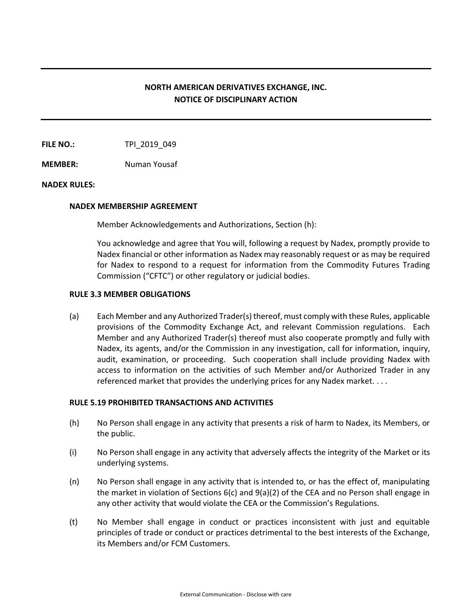# **NORTH AMERICAN DERIVATIVES EXCHANGE, INC. NOTICE OF DISCIPLINARY ACTION**

**FILE NO.:** TPI 2019 049

**MEMBER:** Numan Yousaf

## **NADEX RULES:**

#### **NADEX MEMBERSHIP AGREEMENT**

Member Acknowledgements and Authorizations, Section (h):

You acknowledge and agree that You will, following a request by Nadex, promptly provide to Nadex financial or other information as Nadex may reasonably request or as may be required for Nadex to respond to a request for information from the Commodity Futures Trading Commission ("CFTC") or other regulatory or judicial bodies.

### **RULE 3.3 MEMBER OBLIGATIONS**

(a) Each Member and any Authorized Trader(s) thereof, must comply with these Rules, applicable provisions of the Commodity Exchange Act, and relevant Commission regulations. Each Member and any Authorized Trader(s) thereof must also cooperate promptly and fully with Nadex, its agents, and/or the Commission in any investigation, call for information, inquiry, audit, examination, or proceeding. Such cooperation shall include providing Nadex with access to information on the activities of such Member and/or Authorized Trader in any referenced market that provides the underlying prices for any Nadex market. . . .

## **RULE 5.19 PROHIBITED TRANSACTIONS AND ACTIVITIES**

- (h) No Person shall engage in any activity that presents a risk of harm to Nadex, its Members, or the public.
- (i) No Person shall engage in any activity that adversely affects the integrity of the Market or its underlying systems.
- (n) No Person shall engage in any activity that is intended to, or has the effect of, manipulating the market in violation of Sections  $6(c)$  and  $9(a)(2)$  of the CEA and no Person shall engage in any other activity that would violate the CEA or the Commission's Regulations.
- (t) No Member shall engage in conduct or practices inconsistent with just and equitable principles of trade or conduct or practices detrimental to the best interests of the Exchange, its Members and/or FCM Customers.